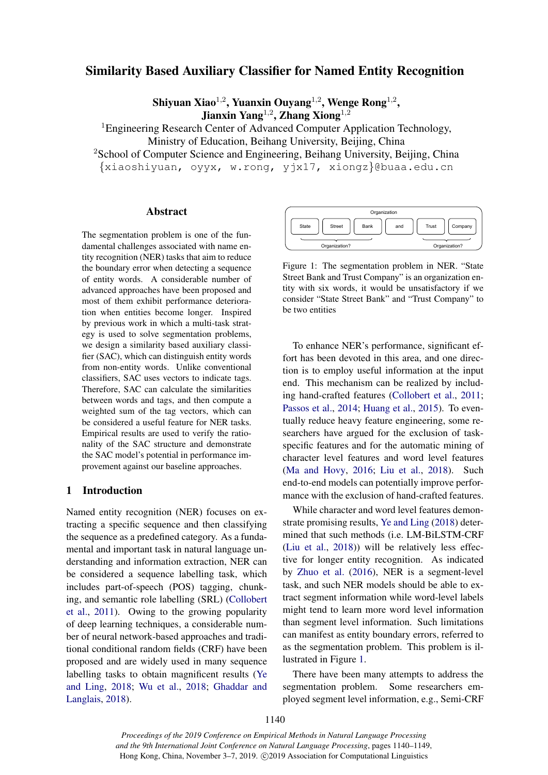# Similarity Based Auxiliary Classifier for Named Entity Recognition

Shiyuan Xiao $^{1,2}$ , Yuanxin Ouyang $^{1,2}$ , Wenge Rong $^{1,2}$ , Jianxin Yang<sup>1,2</sup>, Zhang Xiong<sup>1,2</sup>

<sup>1</sup>Engineering Research Center of Advanced Computer Application Technology, Ministry of Education, Beihang University, Beijing, China <sup>2</sup>School of Computer Science and Engineering, Beihang University, Beijing, China

{xiaoshiyuan, oyyx, w.rong, yjx17, xiongz}@buaa.edu.cn

### Abstract

The segmentation problem is one of the fundamental challenges associated with name entity recognition (NER) tasks that aim to reduce the boundary error when detecting a sequence of entity words. A considerable number of advanced approaches have been proposed and most of them exhibit performance deterioration when entities become longer. Inspired by previous work in which a multi-task strategy is used to solve segmentation problems, we design a similarity based auxiliary classifier (SAC), which can distinguish entity words from non-entity words. Unlike conventional classifiers, SAC uses vectors to indicate tags. Therefore, SAC can calculate the similarities between words and tags, and then compute a weighted sum of the tag vectors, which can be considered a useful feature for NER tasks. Empirical results are used to verify the rationality of the SAC structure and demonstrate the SAC model's potential in performance improvement against our baseline approaches.

## 1 Introduction

Named entity recognition (NER) focuses on extracting a specific sequence and then classifying the sequence as a predefined category. As a fundamental and important task in natural language understanding and information extraction, NER can be considered a sequence labelling task, which includes part-of-speech (POS) tagging, chunking, and semantic role labelling (SRL) [\(Collobert](#page-8-0) [et al.,](#page-8-0) [2011\)](#page-8-0). Owing to the growing popularity of deep learning techniques, a considerable number of neural network-based approaches and traditional conditional random fields (CRF) have been proposed and are widely used in many sequence labelling tasks to obtain magnificent results [\(Ye](#page-9-0) [and Ling,](#page-9-0) [2018;](#page-9-0) [Wu et al.,](#page-9-1) [2018;](#page-9-1) [Ghaddar and](#page-8-1) [Langlais,](#page-8-1) [2018\)](#page-8-1).

<span id="page-0-0"></span>

Figure 1: The segmentation problem in NER. "State Street Bank and Trust Company" is an organization entity with six words, it would be unsatisfactory if we consider "State Street Bank" and "Trust Company" to be two entities

To enhance NER's performance, significant effort has been devoted in this area, and one direction is to employ useful information at the input end. This mechanism can be realized by including hand-crafted features [\(Collobert et al.,](#page-8-0) [2011;](#page-8-0) [Passos et al.,](#page-9-2) [2014;](#page-9-2) [Huang et al.,](#page-8-2) [2015\)](#page-8-2). To eventually reduce heavy feature engineering, some researchers have argued for the exclusion of taskspecific features and for the automatic mining of character level features and word level features [\(Ma and Hovy,](#page-9-3) [2016;](#page-9-3) [Liu et al.,](#page-8-3) [2018\)](#page-8-3). Such end-to-end models can potentially improve performance with the exclusion of hand-crafted features.

While character and word level features demonstrate promising results, [Ye and Ling](#page-9-0) [\(2018\)](#page-9-0) determined that such methods (i.e. LM-BiLSTM-CRF [\(Liu et al.,](#page-8-3) [2018\)](#page-8-3)) will be relatively less effective for longer entity recognition. As indicated by [Zhuo et al.](#page-9-4) [\(2016\)](#page-9-4), NER is a segment-level task, and such NER models should be able to extract segment information while word-level labels might tend to learn more word level information than segment level information. Such limitations can manifest as entity boundary errors, referred to as the segmentation problem. This problem is illustrated in Figure [1.](#page-0-0)

There have been many attempts to address the segmentation problem. Some researchers employed segment level information, e.g., Semi-CRF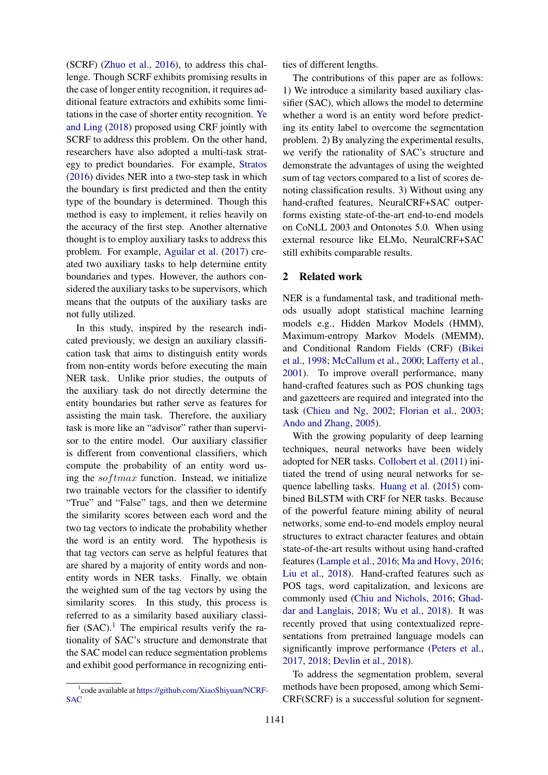(SCRF) [\(Zhuo et al.,](#page-9-4) [2016\)](#page-9-4), to address this challenge. Though SCRF exhibits promising results in the case of longer entity recognition, it requires additional feature extractors and exhibits some limitations in the case of shorter entity recognition. [Ye](#page-9-0) [and Ling](#page-9-0) [\(2018\)](#page-9-0) proposed using CRF jointly with SCRF to address this problem. On the other hand, researchers have also adopted a multi-task strategy to predict boundaries. For example, [Stratos](#page-9-5) [\(2016\)](#page-9-5) divides NER into a two-step task in which the boundary is first predicted and then the entity type of the boundary is determined. Though this method is easy to implement, it relies heavily on the accuracy of the first step. Another alternative thought is to employ auxiliary tasks to address this problem. For example, [Aguilar et al.](#page-8-4) [\(2017\)](#page-8-4) created two auxiliary tasks to help determine entity boundaries and types. However, the authors considered the auxiliary tasks to be supervisors, which means that the outputs of the auxiliary tasks are not fully utilized.

In this study, inspired by the research indicated previously, we design an auxiliary classification task that aims to distinguish entity words from non-entity words before executing the main NER task. Unlike prior studies, the outputs of the auxiliary task do not directly determine the entity boundaries but rather serve as features for assisting the main task. Therefore, the auxiliary task is more like an "advisor" rather than supervisor to the entire model. Our auxiliary classifier is different from conventional classifiers, which compute the probability of an entity word using the  $softmax$  function. Instead, we initialize two trainable vectors for the classifier to identify "True" and "False" tags, and then we determine the similarity scores between each word and the two tag vectors to indicate the probability whether the word is an entity word. The hypothesis is that tag vectors can serve as helpful features that are shared by a majority of entity words and nonentity words in NER tasks. Finally, we obtain the weighted sum of the tag vectors by using the similarity scores. In this study, this process is referred to as a similarity based auxiliary classifier  $(SAC)$ <sup>[1](#page-1-0)</sup>. The empirical results verify the rationality of SAC's structure and demonstrate that the SAC model can reduce segmentation problems and exhibit good performance in recognizing enti-

<span id="page-1-0"></span><sup>1</sup>code available at [https://github.com/XiaoShiyuan/NCRF-](https://github.com/XiaoShiyuan/NCRF-SAC)[SAC](https://github.com/XiaoShiyuan/NCRF-SAC)

ties of different lengths.

The contributions of this paper are as follows: 1) We introduce a similarity based auxiliary classifier (SAC), which allows the model to determine whether a word is an entity word before predicting its entity label to overcome the segmentation problem. 2) By analyzing the experimental results, we verify the rationality of SAC's structure and demonstrate the advantages of using the weighted sum of tag vectors compared to a list of scores denoting classification results. 3) Without using any hand-crafted features, NeuralCRF+SAC outperforms existing state-of-the-art end-to-end models on CoNLL 2003 and Ontonotes 5.0. When using external resource like ELMo, NeuralCRF+SAC still exhibits comparable results.

# 2 Related work

NER is a fundamental task, and traditional methods usually adopt statistical machine learning models e.g., Hidden Markov Models (HMM), Maximum-entropy Markov Models (MEMM), and Conditional Random Fields (CRF) [\(Bikei](#page-8-5) [et al.,](#page-8-5) [1998;](#page-8-5) [McCallum et al.,](#page-9-6) [2000;](#page-9-6) [Lafferty et al.,](#page-8-6) [2001\)](#page-8-6). To improve overall performance, many hand-crafted features such as POS chunking tags and gazetteers are required and integrated into the task [\(Chieu and Ng,](#page-8-7) [2002;](#page-8-7) [Florian et al.,](#page-8-8) [2003;](#page-8-8) [Ando and Zhang,](#page-8-9) [2005\)](#page-8-9).

With the growing popularity of deep learning techniques, neural networks have been widely adopted for NER tasks. [Collobert et al.](#page-8-0) [\(2011\)](#page-8-0) initiated the trend of using neural networks for sequence labelling tasks. [Huang et al.](#page-8-2) [\(2015\)](#page-8-2) combined BiLSTM with CRF for NER tasks. Because of the powerful feature mining ability of neural networks, some end-to-end models employ neural structures to extract character features and obtain state-of-the-art results without using hand-crafted features [\(Lample et al.,](#page-8-10) [2016;](#page-8-10) [Ma and Hovy,](#page-9-3) [2016;](#page-9-3) [Liu et al.,](#page-8-3) [2018\)](#page-8-3). Hand-crafted features such as POS tags, word capitalization, and lexicons are commonly used [\(Chiu and Nichols,](#page-8-11) [2016;](#page-8-11) [Ghad](#page-8-1)[dar and Langlais,](#page-8-1) [2018;](#page-8-1) [Wu et al.,](#page-9-1) [2018\)](#page-9-1). It was recently proved that using contextualized representations from pretrained language models can significantly improve performance [\(Peters et al.,](#page-9-7) [2017,](#page-9-7) [2018;](#page-9-8) [Devlin et al.,](#page-8-12) [2018\)](#page-8-12).

To address the segmentation problem, several methods have been proposed, among which Semi-CRF(SCRF) is a successful solution for segment-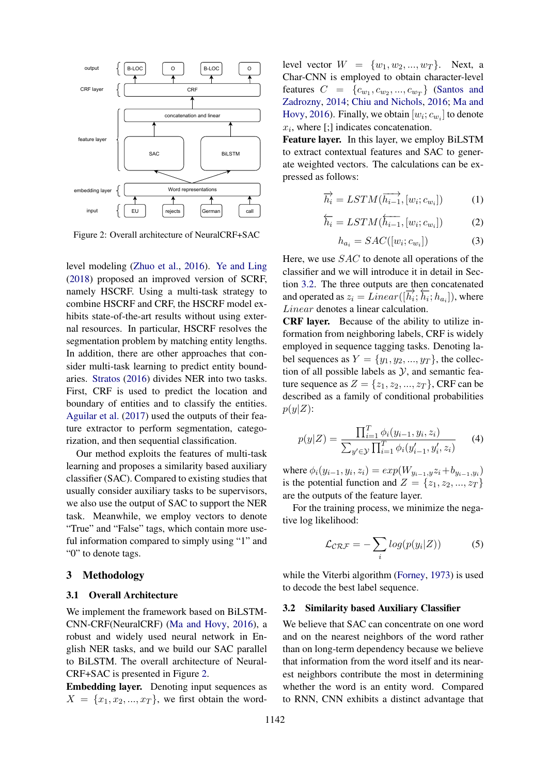<span id="page-2-0"></span>

Figure 2: Overall architecture of NeuralCRF+SAC

level modeling [\(Zhuo et al.,](#page-9-4) [2016\)](#page-9-4). [Ye and Ling](#page-9-0) [\(2018\)](#page-9-0) proposed an improved version of SCRF, namely HSCRF. Using a multi-task strategy to combine HSCRF and CRF, the HSCRF model exhibits state-of-the-art results without using external resources. In particular, HSCRF resolves the segmentation problem by matching entity lengths. In addition, there are other approaches that consider multi-task learning to predict entity boundaries. [Stratos](#page-9-5) [\(2016\)](#page-9-5) divides NER into two tasks. First, CRF is used to predict the location and boundary of entities and to classify the entities. [Aguilar et al.](#page-8-4) [\(2017\)](#page-8-4) used the outputs of their feature extractor to perform segmentation, categorization, and then sequential classification.

Our method exploits the features of multi-task learning and proposes a similarity based auxiliary classifier (SAC). Compared to existing studies that usually consider auxiliary tasks to be supervisors, we also use the output of SAC to support the NER task. Meanwhile, we employ vectors to denote "True" and "False" tags, which contain more useful information compared to simply using "1" and "0" to denote tags.

#### 3 Methodology

#### 3.1 Overall Architecture

We implement the framework based on BiLSTM-CNN-CRF(NeuralCRF) [\(Ma and Hovy,](#page-9-3) [2016\)](#page-9-3), a robust and widely used neural network in English NER tasks, and we build our SAC parallel to BiLSTM. The overall architecture of Neural-CRF+SAC is presented in Figure [2.](#page-2-0)

Embedding layer. Denoting input sequences as  $X = \{x_1, x_2, ..., x_T\}$ , we first obtain the wordlevel vector  $W = \{w_1, w_2, ..., w_T\}$ . Next, a Char-CNN is employed to obtain character-level features  $C = \{c_{w_1}, c_{w_2}, ..., c_{w_T}\}$  [\(Santos and](#page-9-9) [Zadrozny,](#page-9-9) [2014;](#page-9-9) [Chiu and Nichols,](#page-8-11) [2016;](#page-8-11) [Ma and](#page-9-3) [Hovy,](#page-9-3) [2016\)](#page-9-3). Finally, we obtain  $[w_i; c_{w_i}]$  to denote  $x_i$ , where [;] indicates concatenation.

Feature layer. In this layer, we employ BiLSTM to extract contextual features and SAC to generate weighted vectors. The calculations can be expressed as follows:

$$
\overrightarrow{h_i} = LSTM(\overrightarrow{h_{i-1}}, [w_i; c_{w_i}])
$$
 (1)

$$
\overleftarrow{h_i} = LSTM(\overleftarrow{h_{i-1}}, [w_i; c_{w_i}])
$$
 (2)

$$
h_{a_i} = SAC([w_i; c_{w_i}])
$$
\n(3)

Here, we use SAC to denote all operations of the classifier and we will introduce it in detail in Section [3.2.](#page-2-1) The three outputs are then concatenated and operated as  $z_i = Linear([\overline{h_i}; h_i; h_{a_i}])$ , where Linear denotes a linear calculation.

CRF layer. Because of the ability to utilize information from neighboring labels, CRF is widely employed in sequence tagging tasks. Denoting label sequences as  $Y = \{y_1, y_2, ..., y_T\}$ , the collection of all possible labels as  $Y$ , and semantic feature sequence as  $Z = \{z_1, z_2, ..., z_T\}$ , CRF can be described as a family of conditional probabilities  $p(y|Z)$ :

$$
p(y|Z) = \frac{\prod_{i=1}^{T} \phi_i(y_{i-1}, y_i, z_i)}{\sum_{y' \in \mathcal{Y}} \prod_{i=1}^{T} \phi_i(y'_{i-1}, y'_i, z_i)}
$$
(4)

where  $\phi_i(y_{i-1}, y_i, z_i) = exp(W_{y_{i-1}, y_i}z_i + b_{y_{i-1}, y_i})$ is the potential function and  $Z = \{z_1, z_2, ..., z_T\}$ are the outputs of the feature layer.

For the training process, we minimize the negative log likelihood:

$$
\mathcal{L}_{CRF} = -\sum_{i} log(p(y_i|Z))
$$
 (5)

while the Viterbi algorithm [\(Forney,](#page-8-13) [1973\)](#page-8-13) is used to decode the best label sequence.

### <span id="page-2-1"></span>3.2 Similarity based Auxiliary Classifier

We believe that SAC can concentrate on one word and on the nearest neighbors of the word rather than on long-term dependency because we believe that information from the word itself and its nearest neighbors contribute the most in determining whether the word is an entity word. Compared to RNN, CNN exhibits a distinct advantage that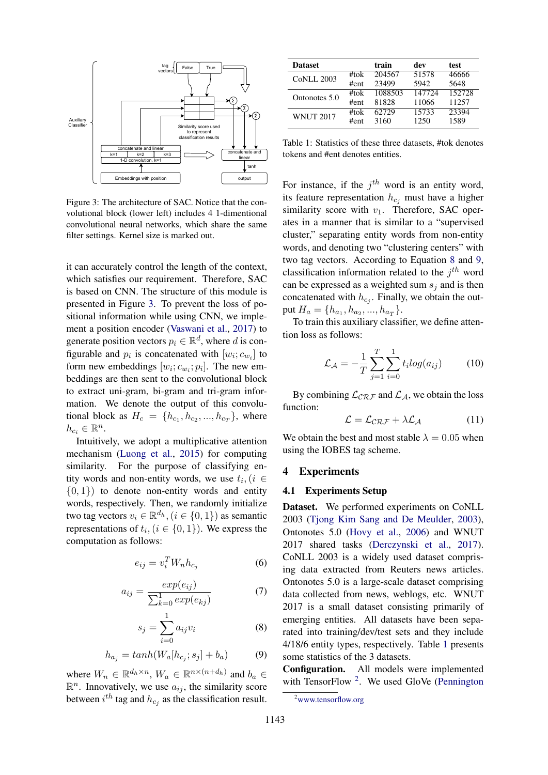<span id="page-3-0"></span>

Figure 3: The architecture of SAC. Notice that the convolutional block (lower left) includes 4 1-dimentional convolutional neural networks, which share the same filter settings. Kernel size is marked out.

it can accurately control the length of the context, which satisfies our requirement. Therefore, SAC is based on CNN. The structure of this module is presented in Figure [3.](#page-3-0) To prevent the loss of positional information while using CNN, we implement a position encoder [\(Vaswani et al.,](#page-9-10) [2017\)](#page-9-10) to generate position vectors  $p_i \in \mathbb{R}^d$ , where d is configurable and  $p_i$  is concatenated with  $[w_i; c_{w_i}]$  to form new embeddings  $[w_i; c_{w_i}; p_i]$ . The new embeddings are then sent to the convolutional block to extract uni-gram, bi-gram and tri-gram information. We denote the output of this convolutional block as  $H_c = \{h_{c_1}, h_{c_2}, ..., h_{c_T}\},\$  where  $h_{c_i} \in \mathbb{R}^n$ .

Intuitively, we adopt a multiplicative attention mechanism [\(Luong et al.,](#page-9-11) [2015\)](#page-9-11) for computing similarity. For the purpose of classifying entity words and non-entity words, we use  $t_i$ ,  $(i \in$  $\{0, 1\}$  to denote non-entity words and entity words, respectively. Then, we randomly initialize two tag vectors  $v_i \in \mathbb{R}^{d_h}$ ,  $(i \in \{0, 1\})$  as semantic representations of  $t_i$ ,  $(i \in \{0, 1\})$ . We express the computation as follows:

$$
e_{ij} = v_i^T W_n h_{c_j} \tag{6}
$$

$$
a_{ij} = \frac{exp(e_{ij})}{\sum_{k=0}^{1} exp(e_{kj})}
$$
(7)

<span id="page-3-1"></span>
$$
s_j = \sum_{i=0}^{1} a_{ij} v_i \tag{8}
$$

<span id="page-3-2"></span>
$$
h_{a_j} = \tanh(W_a[h_{c_j}; s_j] + b_a) \tag{9}
$$

where  $W_n \in \mathbb{R}^{d_h \times n}$ ,  $W_a \in \mathbb{R}^{n \times (n+d_h)}$  and  $b_a \in$  $\mathbb{R}^n$ . Innovatively, we use  $a_{ij}$ , the similarity score between  $i^{th}$  tag and  $h_{c_j}$  as the classification result.

<span id="page-3-3"></span>

| <b>Dataset</b>    |      | train   | dev    | test   |
|-------------------|------|---------|--------|--------|
| <b>CoNLL 2003</b> | #tok | 204567  | 51578  | 46666  |
|                   | #ent | 23499   | 5942   | 5648   |
| Ontonotes 5.0     | #tok | 1088503 | 147724 | 152728 |
|                   | #ent | 81828   | 11066  | 11257  |
| <b>WNUT 2017</b>  | #tok | 62729   | 15733  | 23394  |
|                   | #ent | 3160    | 1250   | 1589   |

Table 1: Statistics of these three datasets, #tok denotes tokens and #ent denotes entities.

For instance, if the  $j<sup>th</sup>$  word is an entity word, its feature representation  $h_{c_i}$  must have a higher similarity score with  $v_1$ . Therefore, SAC operates in a manner that is similar to a "supervised cluster," separating entity words from non-entity words, and denoting two "clustering centers" with two tag vectors. According to Equation [8](#page-3-1) and [9,](#page-3-2) classification information related to the  $j^{th}$  word can be expressed as a weighted sum  $s_i$  and is then concatenated with  $h_{c_j}$ . Finally, we obtain the output  $H_a = \{h_{a_1}, h_{a_2}, ..., h_{a_T}\}.$ 

To train this auxiliary classifier, we define attention loss as follows:

$$
\mathcal{L}_{\mathcal{A}} = -\frac{1}{T} \sum_{j=1}^{T} \sum_{i=0}^{1} t_i log(a_{ij})
$$
 (10)

By combining  $\mathcal{L}_{CRF}$  and  $\mathcal{L}_A$ , we obtain the loss function:

$$
\mathcal{L} = \mathcal{L}_{CRF} + \lambda \mathcal{L}_{\mathcal{A}} \tag{11}
$$

We obtain the best and most stable  $\lambda = 0.05$  when using the IOBES tag scheme.

#### 4 Experiments

### 4.1 Experiments Setup

2017 shared tasks [\(Derczynski et al.,](#page-8-15) [2017\)](#page-8-15). Dataset. We performed experiments on CoNLL 2003 [\(Tjong Kim Sang and De Meulder,](#page-9-12) [2003\)](#page-9-12), Ontonotes 5.0 [\(Hovy et al.,](#page-8-14) [2006\)](#page-8-14) and WNUT CoNLL 2003 is a widely used dataset comprising data extracted from Reuters news articles. Ontonotes 5.0 is a large-scale dataset comprising data collected from news, weblogs, etc. WNUT 2017 is a small dataset consisting primarily of emerging entities. All datasets have been separated into training/dev/test sets and they include 4/18/6 entity types, respectively. Table [1](#page-3-3) presents some statistics of the 3 datasets.

Configuration. All models were implemented with TensorFlow<sup>[2](#page-3-4)</sup>. We used GloVe [\(Pennington](#page-9-13)

<span id="page-3-4"></span><sup>2</sup>[www.tensorflow.org](#page-9-13)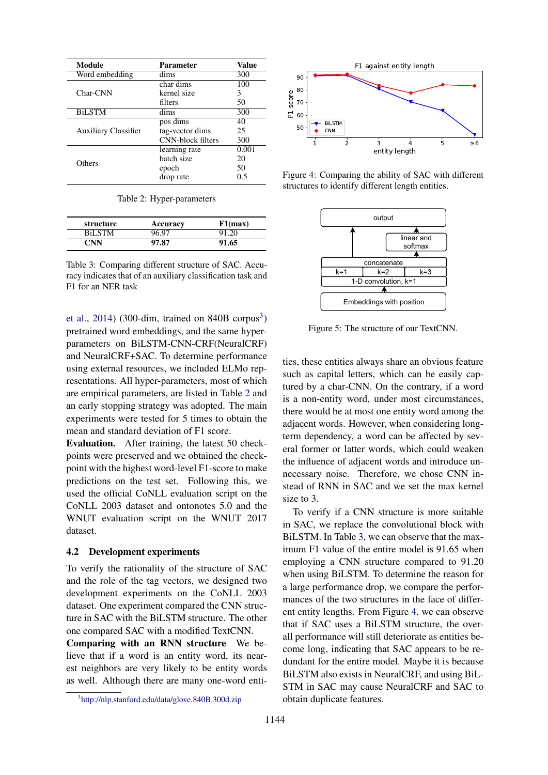<span id="page-4-1"></span>

| Module                      | <b>Parameter</b>  | Value |
|-----------------------------|-------------------|-------|
| Word embedding              | dims              | 300   |
|                             | $char\, dims$     | 100   |
| Char-CNN                    | kernel size       | 3     |
|                             | filters           | 50    |
| <b>BiLSTM</b>               | dims              | 300   |
|                             | pos dims          | 40    |
| <b>Auxiliary Classifier</b> | tag-vector dims   | 25    |
|                             | CNN-block filters | 300   |
|                             | learning rate     | 0.001 |
| Others                      | batch size        | 20    |
|                             | epoch             | 50    |
|                             | drop rate         | 0.5   |

Table 2: Hyper-parameters

<span id="page-4-2"></span>

| structure     | Accuracy | F1(max) |
|---------------|----------|---------|
| <b>BiLSTM</b> | 96.97    | 91.20   |
| $\sqrt{N}$    | 97.87    | 91.65   |

Table 3: Comparing different structure of SAC. Accuracy indicates that of an auxiliary classification task and F1 for an NER task

[et al.,](#page-9-13) [2014\)](#page-9-13) ([3](#page-4-0)00-dim, trained on 840B corpus<sup>3</sup>) pretrained word embeddings, and the same hyperparameters on BiLSTM-CNN-CRF(NeuralCRF) and NeuralCRF+SAC. To determine performance using external resources, we included ELMo representations. All hyper-parameters, most of which are empirical parameters, are listed in Table [2](#page-4-1) and an early stopping strategy was adopted. The main experiments were tested for 5 times to obtain the mean and standard deviation of F1 score.

Evaluation. After training, the latest 50 checkpoints were preserved and we obtained the checkpoint with the highest word-level F1-score to make predictions on the test set. Following this, we used the official CoNLL evaluation script on the CoNLL 2003 dataset and ontonotes 5.0 and the WNUT evaluation script on the WNUT 2017 dataset.

## 4.2 Development experiments

To verify the rationality of the structure of SAC and the role of the tag vectors, we designed two development experiments on the CoNLL 2003 dataset. One experiment compared the CNN structure in SAC with the BiLSTM structure. The other one compared SAC with a modified TextCNN.

Comparing with an RNN structure We believe that if a word is an entity word, its nearest neighbors are very likely to be entity words as well. Although there are many one-word enti-

<span id="page-4-3"></span>

<span id="page-4-4"></span>Figure 4: Comparing the ability of SAC with different structures to identify different length entities.



Figure 5: The structure of our TextCNN.

ties, these entities always share an obvious feature such as capital letters, which can be easily captured by a char-CNN. On the contrary, if a word is a non-entity word, under most circumstances, there would be at most one entity word among the adjacent words. However, when considering longterm dependency, a word can be affected by several former or latter words, which could weaken the influence of adjacent words and introduce unnecessary noise. Therefore, we chose CNN instead of RNN in SAC and we set the max kernel size to 3.

To verify if a CNN structure is more suitable in SAC, we replace the convolutional block with BiLSTM. In Table [3,](#page-4-2) we can observe that the maximum F1 value of the entire model is 91.65 when employing a CNN structure compared to 91.20 when using BiLSTM. To determine the reason for a large performance drop, we compare the performances of the two structures in the face of different entity lengths. From Figure [4,](#page-4-3) we can observe that if SAC uses a BiLSTM structure, the overall performance will still deteriorate as entities become long, indicating that SAC appears to be redundant for the entire model. Maybe it is because BiLSTM also exists in NeuralCRF, and using BiL-STM in SAC may cause NeuralCRF and SAC to obtain duplicate features.

<span id="page-4-0"></span><sup>3</sup> <http://nlp.stanford.edu/data/glove.840B.300d.zip>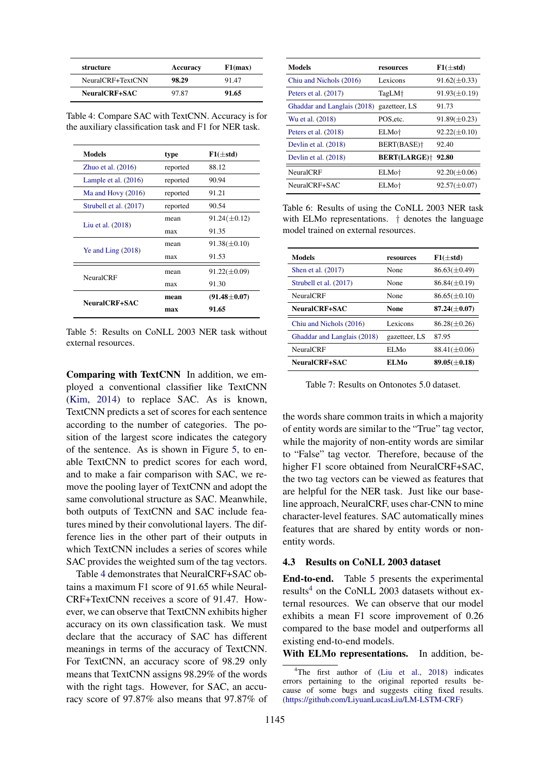<span id="page-5-0"></span>

| structure         | Accuracy | F1(max) |
|-------------------|----------|---------|
| NeuralCRF+TextCNN | 98.29    | 91.47   |
| NeuralCRF+SAC     | 97.87    | 91.65   |

Table 4: Compare SAC with TextCNN. Accuracy is for the auxiliary classification task and F1 for NER task.

<span id="page-5-1"></span>

| <b>Models</b>          | type     | $F1(\pm std)$      |
|------------------------|----------|--------------------|
| Zhuo et al. $(2016)$   | reported | 88.12              |
| Lample et al. $(2016)$ | reported | 90.94              |
| Ma and Hovy $(2016)$   | reported | 91.21              |
| Strubell et al. (2017) | reported | 90.54              |
| Liu et al. (2018)      | mean     | $91.24(\pm 0.12)$  |
|                        | max      | 91.35              |
| Ye and Ling $(2018)$   | mean     | $91.38(\pm 0.10)$  |
|                        | max      | 91.53              |
|                        | mean     | $91.22(\pm 0.09)$  |
| <b>NeuralCRF</b>       | max      | 91.30              |
| NeuralCRF+SAC          | mean     | $(91.48 \pm 0.07)$ |
|                        | max      | 91.65              |

Table 5: Results on CoNLL 2003 NER task without external resources.

Comparing with TextCNN In addition, we employed a conventional classifier like TextCNN [\(Kim,](#page-8-16) [2014\)](#page-8-16) to replace SAC. As is known, TextCNN predicts a set of scores for each sentence according to the number of categories. The position of the largest score indicates the category of the sentence. As is shown in Figure [5,](#page-4-4) to enable TextCNN to predict scores for each word, and to make a fair comparison with SAC, we remove the pooling layer of TextCNN and adopt the same convolutional structure as SAC. Meanwhile, both outputs of TextCNN and SAC include features mined by their convolutional layers. The difference lies in the other part of their outputs in which TextCNN includes a series of scores while SAC provides the weighted sum of the tag vectors.

Table [4](#page-5-0) demonstrates that NeuralCRF+SAC obtains a maximum F1 score of 91.65 while Neural-CRF+TextCNN receives a score of 91.47. However, we can observe that TextCNN exhibits higher accuracy on its own classification task. We must declare that the accuracy of SAC has different meanings in terms of the accuracy of TextCNN. For TextCNN, an accuracy score of 98.29 only means that TextCNN assigns 98.29% of the words with the right tags. However, for SAC, an accuracy score of 97.87% also means that 97.87% of

<span id="page-5-3"></span>

| <b>Models</b>               | resources                     | $F1(\pm std)$     |
|-----------------------------|-------------------------------|-------------------|
| Chiu and Nichols (2016)     | Lexicons                      | $91.62(\pm 0.33)$ |
| Peters et al. $(2017)$      | TagLM <sup>+</sup>            | $91.93(\pm 0.19)$ |
| Ghaddar and Langlais (2018) | gazetteer, LS                 | 91.73             |
| Wu et al. (2018)            | POS, etc.                     | $91.89(\pm 0.23)$ |
| Peters et al. (2018)        | ELM <sub>o</sub> <sup>+</sup> | $92.22(\pm 0.10)$ |
| Devlin et al. (2018)        | BERT(BASE) <sup>+</sup>       | 92.40             |
| Devlin et al. (2018)        | <b>BERT(LARGE)†</b>           | 92.80             |
| <b>NeuralCRF</b>            | ELM <sub>o</sub> <sup>+</sup> | $92.20(\pm 0.06)$ |
| NeuralCRF+SAC               | ELM <sub>o</sub> <sup>+</sup> | $92.57(\pm 0.07)$ |

Table 6: Results of using the CoNLL 2003 NER task with ELMo representations.  $\dagger$  denotes the language model trained on external resources.

<span id="page-5-4"></span>

| <b>Models</b>               | resources     | $F1(\pm std)$      |
|-----------------------------|---------------|--------------------|
| Shen et al. (2017)          | None          | $86.63(\pm 0.49)$  |
| Strubell et al. (2017)      | None          | $86.84(\pm0.19)$   |
| NeuralCRF                   | None          | $86.65(\pm 0.10)$  |
| NeuralCRF+SAC               | None          | 87.24 $(\pm 0.07)$ |
| Chiu and Nichols (2016)     | Lexicons      | $86.28(\pm 0.26)$  |
| Ghaddar and Langlais (2018) | gazetteer, LS | 87.95              |
| <b>NeuralCRF</b>            | ELM0          | $88.41(\pm0.06)$   |
| NeuralCRF+SAC               | EL Mo         | $89.05(\pm 0.18)$  |

Table 7: Results on Ontonotes 5.0 dataset.

the words share common traits in which a majority of entity words are similar to the "True" tag vector, while the majority of non-entity words are similar to "False" tag vector. Therefore, because of the higher F1 score obtained from NeuralCRF+SAC, the two tag vectors can be viewed as features that are helpful for the NER task. Just like our baseline approach, NeuralCRF, uses char-CNN to mine character-level features. SAC automatically mines features that are shared by entity words or nonentity words.

### 4.3 Results on CoNLL 2003 dataset

End-to-end. Table [5](#page-5-1) presents the experimental results<sup>[4](#page-5-2)</sup> on the CoNLL 2003 datasets without external resources. We can observe that our model exhibits a mean F1 score improvement of 0.26 compared to the base model and outperforms all existing end-to-end models.

With ELMo representations. In addition, be-

<span id="page-5-2"></span><sup>&</sup>lt;sup>4</sup>The first author of [\(Liu et al.,](#page-8-3) [2018\)](#page-8-3) indicates errors pertaining to the original reported results because of some bugs and suggests citing fixed results. [\(https://github.com/LiyuanLucasLiu/LM-LSTM-CRF\)](https://github.com/LiyuanLucasLiu/LM-LSTM-CRF)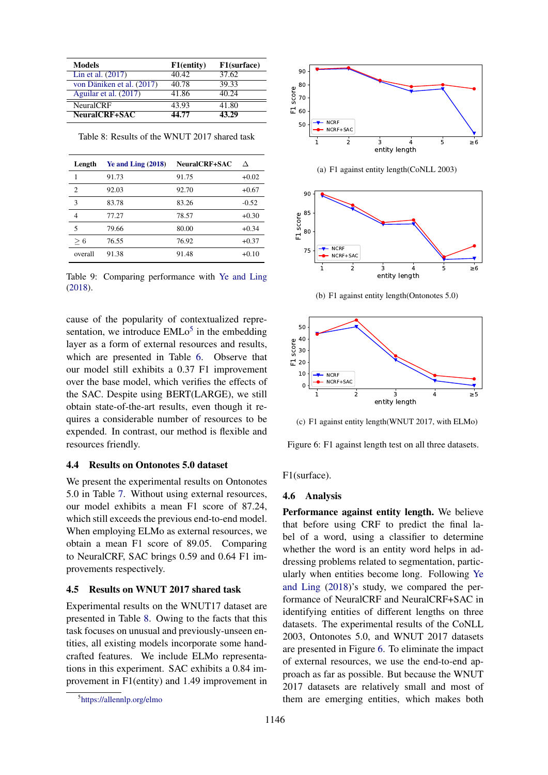<span id="page-6-1"></span>

| Models                    | F1(entity) | F1(surface) |
|---------------------------|------------|-------------|
| Lin et al. (2017)         | 40.42      | 37.62       |
| von Däniken et al. (2017) | 40.78      | 39.33       |
| Aguilar et al. (2017)     | 41.86      | 40.24       |
| NeuralCRF                 | 43.93      | 41.80       |
| NeuralCRF+SAC             | 44.77      | 43.29       |

Table 8: Results of the WNUT 2017 shared task

<span id="page-6-6"></span>

| Length         | $Ye$ and $Ling$ (2018) | NeuralCRF+SAC | Δ       |
|----------------|------------------------|---------------|---------|
| 1              | 91.73                  | 91.75         | $+0.02$ |
| 2              | 92.03                  | 92.70         | $+0.67$ |
| 3              | 83.78                  | 83.26         | $-0.52$ |
| $\overline{4}$ | 77.27                  | 78.57         | $+0.30$ |
| 5              | 79.66                  | 80.00         | $+0.34$ |
| > 6            | 76.55                  | 76.92         | $+0.37$ |
| overall        | 91.38                  | 91.48         | $+0.10$ |

Table 9: Comparing performance with [Ye and Ling](#page-9-0) [\(2018\)](#page-9-0).

cause of the popularity of contextualized representation, we introduce  $EMLo<sup>5</sup>$  $EMLo<sup>5</sup>$  $EMLo<sup>5</sup>$  in the embedding layer as a form of external resources and results, which are presented in Table [6.](#page-5-3) Observe that our model still exhibits a 0.37 F1 improvement over the base model, which verifies the effects of the SAC. Despite using BERT(LARGE), we still obtain state-of-the-art results, even though it requires a considerable number of resources to be expended. In contrast, our method is flexible and resources friendly.

# 4.4 Results on Ontonotes 5.0 dataset

We present the experimental results on Ontonotes 5.0 in Table [7.](#page-5-4) Without using external resources, our model exhibits a mean F1 score of 87.24, which still exceeds the previous end-to-end model. When employing ELMo as external resources, we obtain a mean F1 score of 89.05. Comparing to NeuralCRF, SAC brings 0.59 and 0.64 F1 improvements respectively.

# 4.5 Results on WNUT 2017 shared task

Experimental results on the WNUT17 dataset are presented in Table [8.](#page-6-1) Owing to the facts that this task focuses on unusual and previously-unseen entities, all existing models incorporate some handcrafted features. We include ELMo representations in this experiment. SAC exhibits a 0.84 improvement in F1(entity) and 1.49 improvement in

<span id="page-6-3"></span><span id="page-6-2"></span>

(a) F1 against entity length(CoNLL 2003)



(b) F1 against entity length(Ontonotes 5.0)

<span id="page-6-4"></span>

<span id="page-6-5"></span>(c) F1 against entity length(WNUT 2017, with ELMo)

Figure 6: F1 against length test on all three datasets.

### F1(surface).

#### 4.6 Analysis

Performance against entity length. We believe that before using CRF to predict the final label of a word, using a classifier to determine whether the word is an entity word helps in addressing problems related to segmentation, particularly when entities become long. Following [Ye](#page-9-0) [and Ling](#page-9-0) [\(2018\)](#page-9-0)'s study, we compared the performance of NeuralCRF and NeuralCRF+SAC in identifying entities of different lengths on three datasets. The experimental results of the CoNLL 2003, Ontonotes 5.0, and WNUT 2017 datasets are presented in Figure [6.](#page-6-2) To eliminate the impact of external resources, we use the end-to-end approach as far as possible. But because the WNUT 2017 datasets are relatively small and most of them are emerging entities, which makes both

<span id="page-6-0"></span><sup>5</sup> <https://allennlp.org/elmo>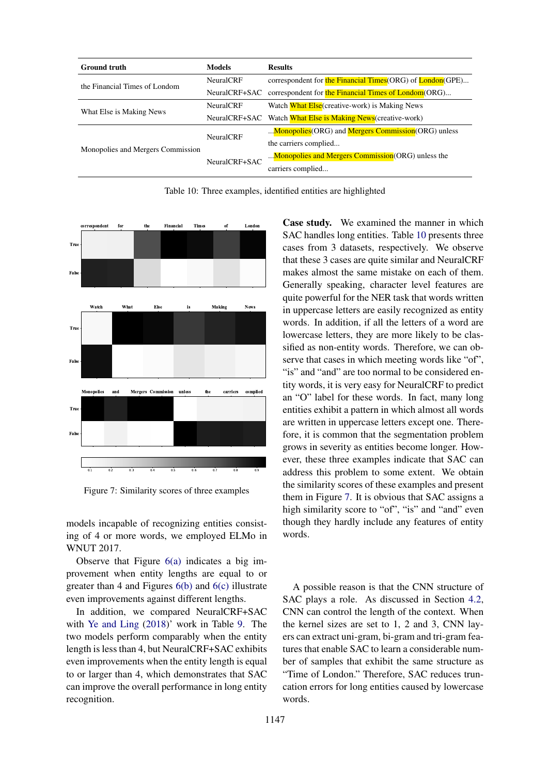<span id="page-7-0"></span>

| <b>Ground truth</b>               | <b>Models</b>    | <b>Results</b>                                               |
|-----------------------------------|------------------|--------------------------------------------------------------|
| the Financial Times of Londom     | <b>NeuralCRF</b> | correspondent for the Financial Times (ORG) of London (GPE)  |
|                                   | NeuralCRF+SAC    | correspondent for the Financial Times of Londom(ORG)         |
| What Else is Making News          | <b>NeuralCRF</b> | Watch What Else (creative-work) is Making News               |
|                                   |                  | NeuralCRF+SAC Watch What Else is Making News (creative-work) |
|                                   | NeuralCRF        | Monopolies (ORG) and Mergers Commission (ORG) unless         |
| Monopolies and Mergers Commission |                  | the carriers complied                                        |
|                                   | NeuralCRF+SAC    | Monopolies and Mergers Commission (ORG) unless the           |
|                                   |                  | carriers complied                                            |

Table 10: Three examples, identified entities are highlighted

<span id="page-7-1"></span>

Figure 7: Similarity scores of three examples

models incapable of recognizing entities consisting of 4 or more words, we employed ELMo in WNUT 2017.

Observe that Figure  $6(a)$  indicates a big improvement when entity lengths are equal to or greater than 4 and Figures  $6(b)$  and  $6(c)$  illustrate even improvements against different lengths.

In addition, we compared NeuralCRF+SAC with [Ye and Ling](#page-9-0) [\(2018\)](#page-9-0)' work in Table [9.](#page-6-6) The two models perform comparably when the entity length is less than 4, but NeuralCRF+SAC exhibits even improvements when the entity length is equal to or larger than 4, which demonstrates that SAC can improve the overall performance in long entity recognition.

Case study. We examined the manner in which SAC handles long entities. Table [10](#page-7-0) presents three cases from 3 datasets, respectively. We observe that these 3 cases are quite similar and NeuralCRF makes almost the same mistake on each of them. Generally speaking, character level features are quite powerful for the NER task that words written in uppercase letters are easily recognized as entity words. In addition, if all the letters of a word are lowercase letters, they are more likely to be classified as non-entity words. Therefore, we can observe that cases in which meeting words like "of", "is" and "and" are too normal to be considered entity words, it is very easy for NeuralCRF to predict an "O" label for these words. In fact, many long entities exhibit a pattern in which almost all words are written in uppercase letters except one. Therefore, it is common that the segmentation problem grows in severity as entities become longer. However, these three examples indicate that SAC can address this problem to some extent. We obtain the similarity scores of these examples and present them in Figure [7.](#page-7-1) It is obvious that SAC assigns a high similarity score to "of", "is" and "and" even though they hardly include any features of entity words.

A possible reason is that the CNN structure of SAC plays a role. As discussed in Section [4.2,](#page-4-2) CNN can control the length of the context. When the kernel sizes are set to 1, 2 and 3, CNN layers can extract uni-gram, bi-gram and tri-gram features that enable SAC to learn a considerable number of samples that exhibit the same structure as "Time of London." Therefore, SAC reduces truncation errors for long entities caused by lowercase words.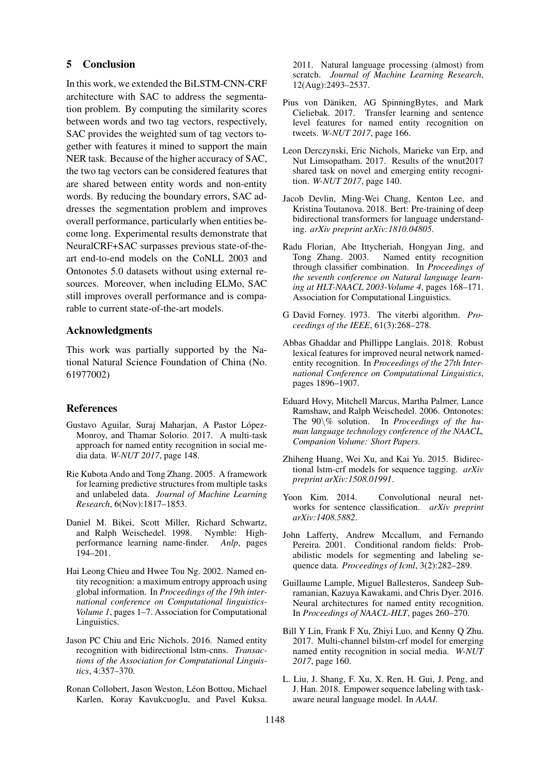### 5 Conclusion

In this work, we extended the BiLSTM-CNN-CRF architecture with SAC to address the segmentation problem. By computing the similarity scores between words and two tag vectors, respectively, SAC provides the weighted sum of tag vectors together with features it mined to support the main NER task. Because of the higher accuracy of SAC, the two tag vectors can be considered features that are shared between entity words and non-entity words. By reducing the boundary errors, SAC addresses the segmentation problem and improves overall performance, particularly when entities become long. Experimental results demonstrate that NeuralCRF+SAC surpasses previous state-of-theart end-to-end models on the CoNLL 2003 and Ontonotes 5.0 datasets without using external resources. Moreover, when including ELMo, SAC still improves overall performance and is comparable to current state-of-the-art models.

## Acknowledgments

This work was partially supported by the National Natural Science Foundation of China (No. 61977002)

#### References

- <span id="page-8-4"></span>Gustavo Aguilar, Suraj Maharjan, A Pastor López-Monroy, and Thamar Solorio. 2017. A multi-task approach for named entity recognition in social media data. *W-NUT 2017*, page 148.
- <span id="page-8-9"></span>Rie Kubota Ando and Tong Zhang. 2005. A framework for learning predictive structures from multiple tasks and unlabeled data. *Journal of Machine Learning Research*, 6(Nov):1817–1853.
- <span id="page-8-5"></span>Daniel M. Bikei, Scott Miller, Richard Schwartz, and Ralph Weischedel. 1998. performance learning name-finder. *Anlp*, pages 194–201.
- <span id="page-8-7"></span>Hai Leong Chieu and Hwee Tou Ng. 2002. Named entity recognition: a maximum entropy approach using global information. In *Proceedings of the 19th international conference on Computational linguistics-Volume 1*, pages 1–7. Association for Computational Linguistics.
- <span id="page-8-11"></span>Jason PC Chiu and Eric Nichols. 2016. Named entity recognition with bidirectional lstm-cnns. *Transactions of the Association for Computational Linguistics*, 4:357–370.
- <span id="page-8-0"></span>Ronan Collobert, Jason Weston, Léon Bottou, Michael Karlen, Koray Kavukcuoglu, and Pavel Kuksa.

2011. Natural language processing (almost) from scratch. *Journal of Machine Learning Research*, 12(Aug):2493–2537.

- <span id="page-8-18"></span>Pius von Däniken, AG SpinningBytes, and Mark Cieliebak. 2017. Transfer learning and sentence level features for named entity recognition on tweets. *W-NUT 2017*, page 166.
- <span id="page-8-15"></span>Leon Derczynski, Eric Nichols, Marieke van Erp, and Nut Limsopatham. 2017. Results of the wnut2017 shared task on novel and emerging entity recognition. *W-NUT 2017*, page 140.
- <span id="page-8-12"></span>Jacob Devlin, Ming-Wei Chang, Kenton Lee, and Kristina Toutanova. 2018. Bert: Pre-training of deep bidirectional transformers for language understanding. *arXiv preprint arXiv:1810.04805*.
- <span id="page-8-8"></span>Radu Florian, Abe Ittycheriah, Hongyan Jing, and<br>Tong Zhang. 2003. Named entity recognition Named entity recognition through classifier combination. In *Proceedings of the seventh conference on Natural language learning at HLT-NAACL 2003-Volume 4*, pages 168–171. Association for Computational Linguistics.
- <span id="page-8-13"></span>G David Forney. 1973. The viterbi algorithm. *Proceedings of the IEEE*, 61(3):268–278.
- <span id="page-8-1"></span>Abbas Ghaddar and Phillippe Langlais. 2018. Robust lexical features for improved neural network namedentity recognition. In *Proceedings of the 27th International Conference on Computational Linguistics*, pages 1896–1907.
- <span id="page-8-14"></span>Eduard Hovy, Mitchell Marcus, Martha Palmer, Lance Ramshaw, and Ralph Weischedel. 2006. Ontonotes: The 90\% solution. In *Proceedings of the human language technology conference of the NAACL, Companion Volume: Short Papers*.
- <span id="page-8-2"></span>Zhiheng Huang, Wei Xu, and Kai Yu. 2015. Bidirectional lstm-crf models for sequence tagging. *arXiv preprint arXiv:1508.01991*.
- <span id="page-8-16"></span>Yoon Kim. 2014. Convolutional neural networks for sentence classification. *arXiv preprint arXiv:1408.5882*.
- <span id="page-8-6"></span>John Lafferty, Andrew Mccallum, and Fernando Pereira. 2001. Conditional random fields: Probabilistic models for segmenting and labeling sequence data. *Proceedings of Icml*, 3(2):282–289.
- <span id="page-8-10"></span>Guillaume Lample, Miguel Ballesteros, Sandeep Subramanian, Kazuya Kawakami, and Chris Dyer. 2016. Neural architectures for named entity recognition. In *Proceedings of NAACL-HLT*, pages 260–270.
- <span id="page-8-17"></span>Bill Y Lin, Frank F Xu, Zhiyi Luo, and Kenny Q Zhu. 2017. Multi-channel bilstm-crf model for emerging named entity recognition in social media. *W-NUT 2017*, page 160.
- <span id="page-8-3"></span>L. Liu, J. Shang, F. Xu, X. Ren, H. Gui, J. Peng, and J. Han. 2018. Empower sequence labeling with taskaware neural language model. In *AAAI*.